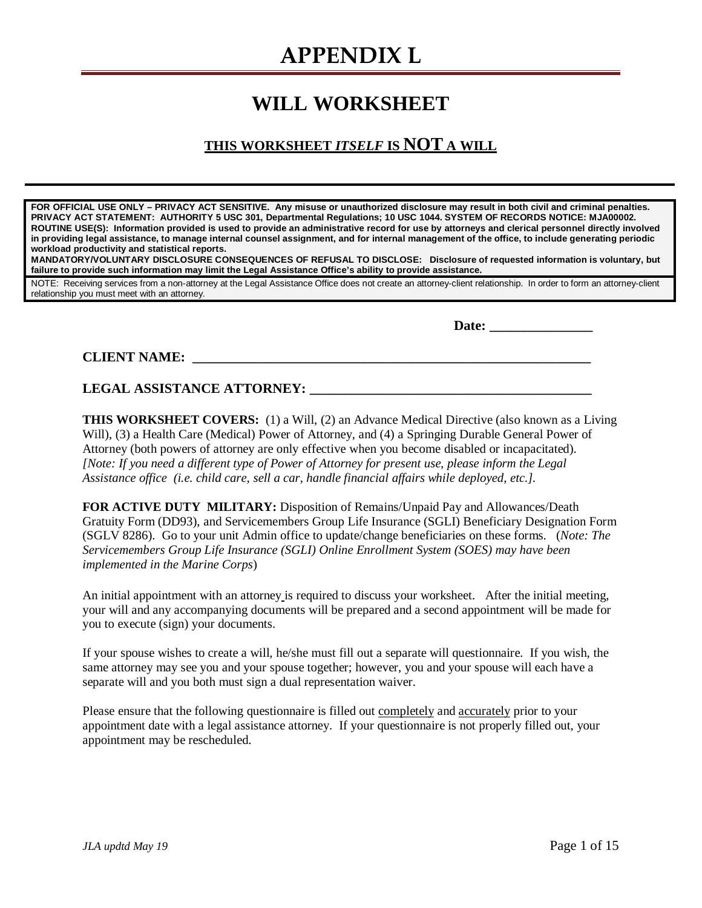### **WILL WORKSHEET**

### **THIS WORKSHEET** *ITSELF* **IS NOT A WILL**

**FOR OFFICIAL USE ONLY – PRIVACY ACT SENSITIVE. Any misuse or unauthorized disclosure may result in both civil and criminal penalties. PRIVACY ACT STATEMENT: AUTHORITY 5 USC 301, Departmental Regulations; 10 USC 1044. SYSTEM OF RECORDS NOTICE: MJA00002. ROUTINE USE(S): Information provided is used to provide an administrative record for use by attorneys and clerical personnel directly involved in providing legal assistance, to manage internal counsel assignment, and for internal management of the office, to include generating periodic workload productivity and statistical reports.** 

**MANDATORY/VOLUNTARY DISCLOSURE CONSEQUENCES OF REFUSAL TO DISCLOSE: Disclosure of requested information is voluntary, but failure to provide such information may limit the Legal Assistance Office's ability to provide assistance.** 

NOTE: Receiving services from a non-attorney at the Legal Assistance Office does not create an attorney-client relationship. In order to form an attorney-client relationship you must meet with an attorney.

Date:

**CLIENT NAME:**  $\blacksquare$ 

### **LEGAL ASSISTANCE ATTORNEY: \_\_\_\_\_\_\_\_\_\_\_\_\_\_\_\_\_\_\_\_\_\_\_\_\_\_\_\_\_\_\_\_\_\_\_\_\_\_\_\_\_**

**THIS WORKSHEET COVERS:** (1) a Will, (2) an Advance Medical Directive (also known as a Living Will), (3) a Health Care (Medical) Power of Attorney, and (4) a Springing Durable General Power of Attorney (both powers of attorney are only effective when you become disabled or incapacitated). *[Note: If you need a different type of Power of Attorney for present use, please inform the Legal Assistance office (i.e. child care, sell a car, handle financial affairs while deployed, etc.].*

**FOR ACTIVE DUTY MILITARY:** Disposition of Remains/Unpaid Pay and Allowances/Death Gratuity Form (DD93), and Servicemembers Group Life Insurance (SGLI) Beneficiary Designation Form (SGLV 8286). Go to your unit Admin office to update/change beneficiaries on these forms. (*Note: The Servicemembers Group Life Insurance (SGLI) Online Enrollment System (SOES) may have been implemented in the Marine Corps*)

An initial appointment with an attorney is required to discuss your worksheet. After the initial meeting, your will and any accompanying documents will be prepared and a second appointment will be made for you to execute (sign) your documents.

If your spouse wishes to create a will, he/she must fill out a separate will questionnaire. If you wish, the same attorney may see you and your spouse together; however, you and your spouse will each have a separate will and you both must sign a dual representation waiver.

Please ensure that the following questionnaire is filled out completely and accurately prior to your appointment date with a legal assistance attorney. If your questionnaire is not properly filled out, your appointment may be rescheduled.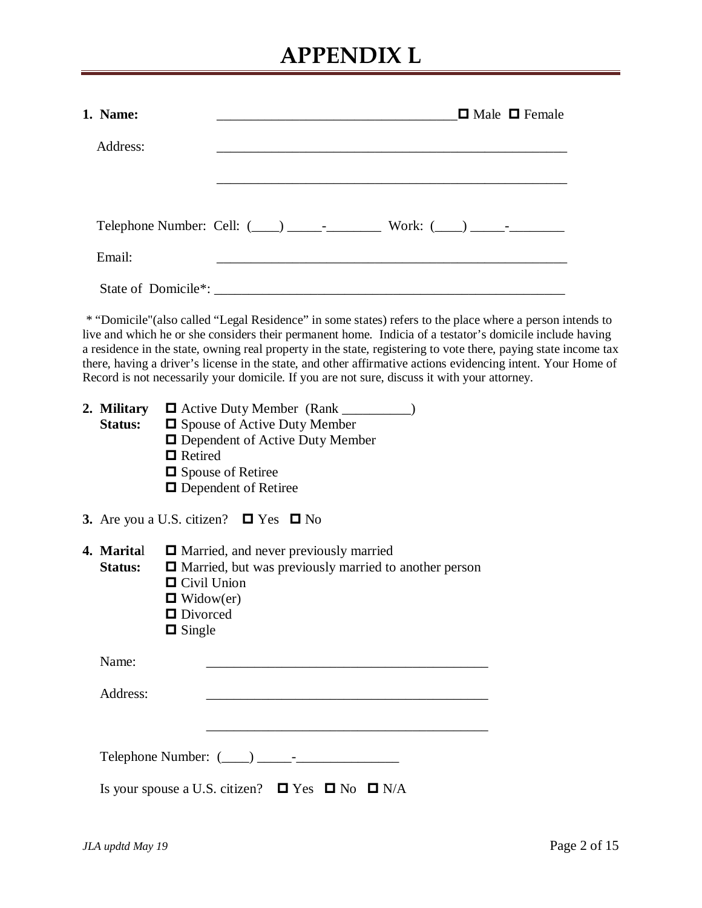| 1. Name:                      | $\Box$ Male $\Box$ Female                                                                                                                                                                                                                                                                                                                                                                                                                                                                                                                                |
|-------------------------------|----------------------------------------------------------------------------------------------------------------------------------------------------------------------------------------------------------------------------------------------------------------------------------------------------------------------------------------------------------------------------------------------------------------------------------------------------------------------------------------------------------------------------------------------------------|
| Address:                      |                                                                                                                                                                                                                                                                                                                                                                                                                                                                                                                                                          |
|                               |                                                                                                                                                                                                                                                                                                                                                                                                                                                                                                                                                          |
| Email:                        |                                                                                                                                                                                                                                                                                                                                                                                                                                                                                                                                                          |
|                               |                                                                                                                                                                                                                                                                                                                                                                                                                                                                                                                                                          |
|                               | * "Domicile" (also called "Legal Residence" in some states) refers to the place where a person intends to<br>live and which he or she considers their permanent home. Indicia of a testator's domicile include having<br>a residence in the state, owning real property in the state, registering to vote there, paying state income tax<br>there, having a driver's license in the state, and other affirmative actions evidencing intent. Your Home of<br>Record is not necessarily your domicile. If you are not sure, discuss it with your attorney. |
| 2. Military<br><b>Status:</b> | <b>O</b> Active Duty Member (Rank ___________)<br><b><math>\Box</math></b> Spouse of Active Duty Member<br><b>Q</b> Dependent of Active Duty Member<br>$\blacksquare$ Retired<br>□ Spouse of Retiree<br>$\Box$ Dependent of Retiree                                                                                                                                                                                                                                                                                                                      |
|                               | 3. Are you a U.S. citizen? $\Box$ Yes $\Box$ No                                                                                                                                                                                                                                                                                                                                                                                                                                                                                                          |
| 4. Marital<br><b>Status:</b>  | <b>I</b> Married, and never previously married<br>$\Box$ Married, but was previously married to another person<br>$\Box$ Civil Union<br>$\blacksquare$ Widow(er)<br>$\Box$ Divorced<br>$\Box$ Single                                                                                                                                                                                                                                                                                                                                                     |
| Name:                         | the control of the control of the control of the control of the control of the control of the control of the control of the control of the control of the control of the control of the control of the control of the control                                                                                                                                                                                                                                                                                                                            |
| Address:                      |                                                                                                                                                                                                                                                                                                                                                                                                                                                                                                                                                          |
|                               |                                                                                                                                                                                                                                                                                                                                                                                                                                                                                                                                                          |
|                               | Is your spouse a U.S. citizen? $\Box$ Yes $\Box$ No $\Box$ N/A                                                                                                                                                                                                                                                                                                                                                                                                                                                                                           |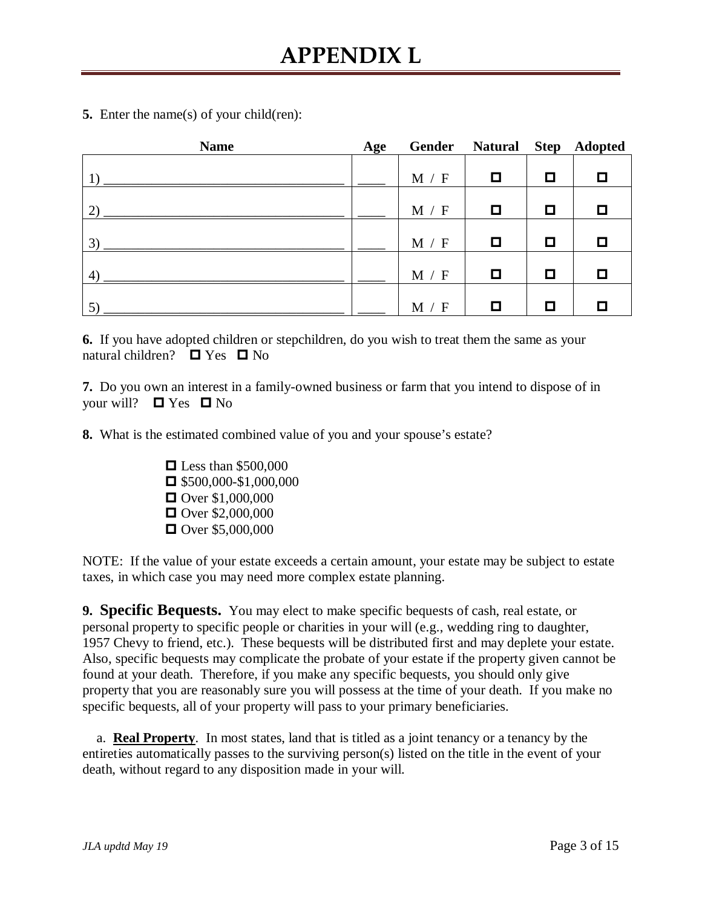**5.** Enter the name(s) of your child(ren):

| <b>Name</b>                  | Age |       | Gender Natural Step Adopted |        |   |
|------------------------------|-----|-------|-----------------------------|--------|---|
| $\left( \frac{1}{2} \right)$ |     | M / F | $\Box$                      | O      | D |
|                              |     |       |                             |        |   |
| 2)                           |     | M / F | $\Box$                      | ◻      | О |
|                              |     |       |                             |        |   |
| 3)                           |     | M / F | $\Box$                      | ◘      | О |
| 4)                           |     | M / F | $\Box$                      | $\Box$ | O |
|                              |     |       |                             |        |   |
| 5)                           |     | M / F | ◘                           | О      | O |

**6.** If you have adopted children or stepchildren, do you wish to treat them the same as your natural children?  $\Box$  Yes  $\Box$  No

**7.** Do you own an interest in a family-owned business or farm that you intend to dispose of in your will?  $\Box$  Yes  $\Box$  No

**8.** What is the estimated combined value of you and your spouse's estate?

 $\Box$  Less than \$500,000  $\Box$  \$500,000-\$1,000,000  $\Box$  Over \$1,000,000  $\Box$  Over \$2,000,000  $\Box$  Over \$5,000,000

NOTE: If the value of your estate exceeds a certain amount, your estate may be subject to estate taxes, in which case you may need more complex estate planning.

**9. Specific Bequests.** You may elect to make specific bequests of cash, real estate, or personal property to specific people or charities in your will (e.g., wedding ring to daughter, 1957 Chevy to friend, etc.). These bequests will be distributed first and may deplete your estate. Also, specific bequests may complicate the probate of your estate if the property given cannot be found at your death. Therefore, if you make any specific bequests, you should only give property that you are reasonably sure you will possess at the time of your death. If you make no specific bequests, all of your property will pass to your primary beneficiaries.

 a. **Real Property**.In most states, land that is titled as a joint tenancy or a tenancy by the entireties automatically passes to the surviving person(s) listed on the title in the event of your death, without regard to any disposition made in your will.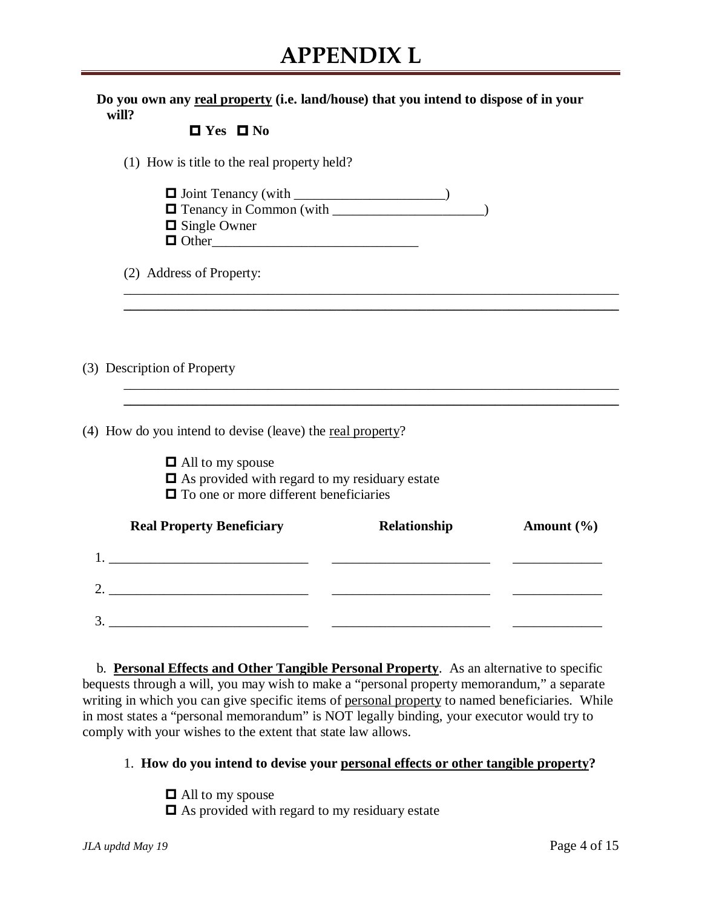**Do you own any real property (i.e. land/house) that you intend to dispose of in your will?** 

|  | $\Box$ Yes $\Box$ No |
|--|----------------------|

|  |  |  | (1) How is title to the real property held? |
|--|--|--|---------------------------------------------|
|  |  |  |                                             |

 $\Box$  Joint Tenancy (with \_\_\_\_\_\_\_\_\_\_\_\_\_\_\_\_\_\_\_\_\_)  $\Box$  Tenancy in Common (with  $\Box$ )

\_\_\_\_\_\_\_\_\_\_\_\_\_\_\_\_\_\_\_\_\_\_\_\_\_\_\_\_\_\_\_\_\_\_\_\_\_\_\_\_\_\_\_\_\_\_\_\_\_\_\_\_\_\_\_\_\_\_\_\_\_\_\_\_\_\_\_\_\_\_\_\_ **\_\_\_\_\_\_\_\_\_\_\_\_\_\_\_\_\_\_\_\_\_\_\_\_\_\_\_\_\_\_\_\_\_\_\_\_\_\_\_\_\_\_\_\_\_\_\_\_\_\_\_\_\_\_\_\_\_\_\_\_\_\_\_\_\_\_\_\_\_\_\_\_**

\_\_\_\_\_\_\_\_\_\_\_\_\_\_\_\_\_\_\_\_\_\_\_\_\_\_\_\_\_\_\_\_\_\_\_\_\_\_\_\_\_\_\_\_\_\_\_\_\_\_\_\_\_\_\_\_\_\_\_\_\_\_\_\_\_\_\_\_\_\_\_\_

- $\Box$  Single Owner
- Other\_\_\_\_\_\_\_\_\_\_\_\_\_\_\_\_\_\_\_\_\_\_\_\_\_\_\_\_\_\_

(2) Address of Property:

(3) Description of Property

(4) How do you intend to devise (leave) the real property?

- $\Box$  All to my spouse
- As provided with regard to my residuary estate
- $\blacksquare$  To one or more different beneficiaries

| <b>Real Property Beneficiary</b> | Relationship | Amount $(\% )$ |
|----------------------------------|--------------|----------------|
|                                  |              |                |
| っ                                |              |                |
| 3                                |              |                |

 b. **Personal Effects and Other Tangible Personal Property**. As an alternative to specific bequests through a will, you may wish to make a "personal property memorandum," a separate writing in which you can give specific items of personal property to named beneficiaries. While in most states a "personal memorandum" is NOT legally binding, your executor would try to comply with your wishes to the extent that state law allows.

### 1. **How do you intend to devise your personal effects or other tangible property?**

 $\Box$  All to my spouse  $\Box$  As provided with regard to my residuary estate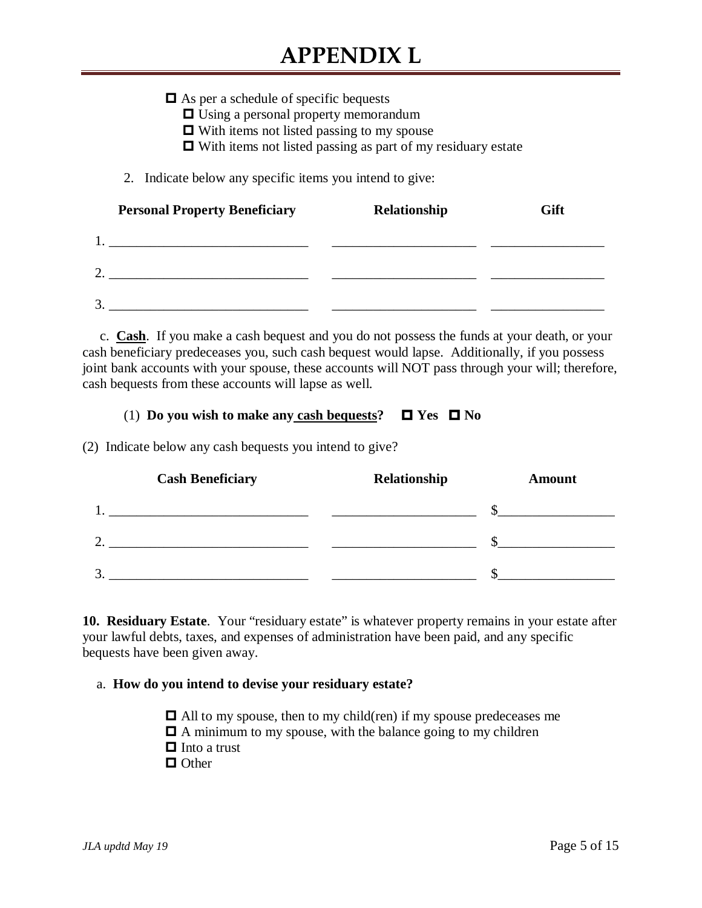$\Box$  As per a schedule of specific bequests □ Using a personal property memorandum  $\Box$  With items not listed passing to my spouse  $\Box$  With items not listed passing as part of my residuary estate 2. Indicate below any specific items you intend to give: **Personal Property Beneficiary Relationship Gift** 1. \_\_\_\_\_\_\_\_\_\_\_\_\_\_\_\_\_\_\_\_\_\_\_\_\_\_\_\_\_ \_\_\_\_\_\_\_\_\_\_\_\_\_\_\_\_\_\_\_\_\_ \_\_\_\_\_\_\_\_\_\_\_\_\_\_\_\_\_ 2. \_\_\_\_\_\_\_\_\_\_\_\_\_\_\_\_\_\_\_\_\_\_\_\_\_\_\_\_\_ \_\_\_\_\_\_\_\_\_\_\_\_\_\_\_\_\_\_\_\_\_ \_\_\_\_\_\_\_\_\_\_\_\_\_\_\_\_\_  $3.$ 

 c. **Cash**. If you make a cash bequest and you do not possess the funds at your death, or your cash beneficiary predeceases you, such cash bequest would lapse. Additionally, if you possess joint bank accounts with your spouse, these accounts will NOT pass through your will; therefore, cash bequests from these accounts will lapse as well.

### $(1)$  Do you wish to make any cash bequests?  $\Box$  Yes  $\Box$  No

(2) Indicate below any cash bequests you intend to give?

|   | <b>Cash Beneficiary</b> | Relationship | <b>Amount</b> |  |
|---|-------------------------|--------------|---------------|--|
|   |                         |              |               |  |
| ◠ |                         |              |               |  |
| 3 |                         |              |               |  |

**10. Residuary Estate**. Your "residuary estate" is whatever property remains in your estate after your lawful debts, taxes, and expenses of administration have been paid, and any specific bequests have been given away.

#### a. **How do you intend to devise your residuary estate?**

 $\Box$  All to my spouse, then to my child(ren) if my spouse predeceases me  $\Box$  A minimum to my spouse, with the balance going to my children  $\Box$  Into a trust □ Other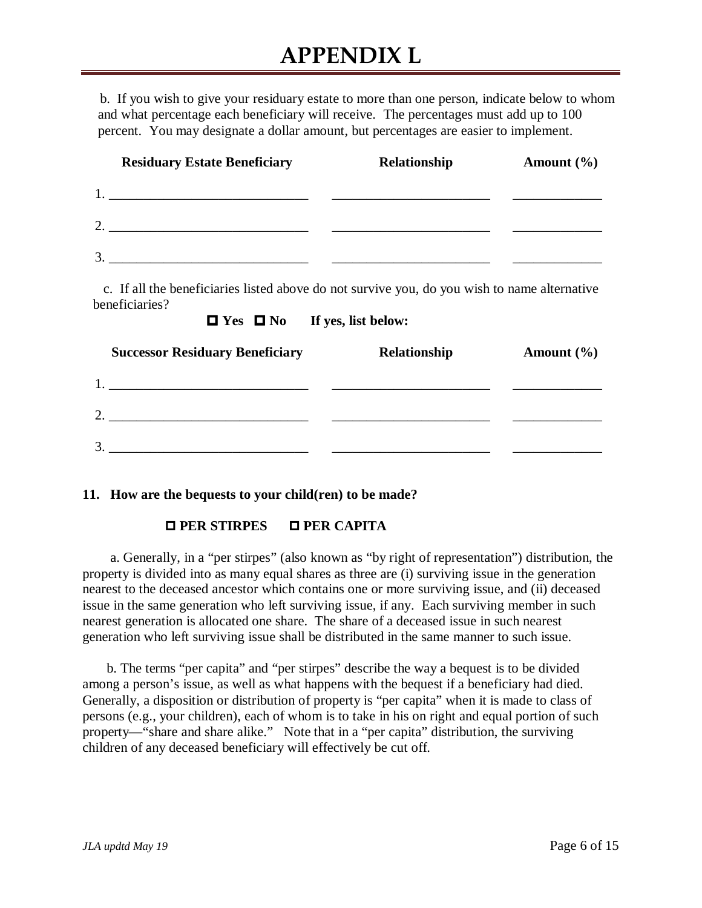b. If you wish to give your residuary estate to more than one person, indicate below to whom and what percentage each beneficiary will receive. The percentages must add up to 100 percent. You may designate a dollar amount, but percentages are easier to implement.

| <b>Residuary Estate Beneficiary</b> | Relationship | Amount $(\% )$ |
|-------------------------------------|--------------|----------------|
|                                     |              |                |
| $\gamma$                            |              |                |
| 3.                                  |              |                |

 c. If all the beneficiaries listed above do not survive you, do you wish to name alternative beneficiaries?



| <b>Successor Residuary Beneficiary</b>                                          | Relationship | Amount $(\% )$ |
|---------------------------------------------------------------------------------|--------------|----------------|
| the contract of the contract of the contract of the contract of the contract of |              |                |
| $\mathcal{D}$                                                                   |              |                |
| $\mathbf 3$                                                                     |              |                |

#### **11. How are the bequests to your child(ren) to be made?**

### **PER STIRPES PER CAPITA**

a. Generally, in a "per stirpes" (also known as "by right of representation") distribution, the property is divided into as many equal shares as three are (i) surviving issue in the generation nearest to the deceased ancestor which contains one or more surviving issue, and (ii) deceased issue in the same generation who left surviving issue, if any. Each surviving member in such nearest generation is allocated one share. The share of a deceased issue in such nearest generation who left surviving issue shall be distributed in the same manner to such issue.

 b. The terms "per capita" and "per stirpes" describe the way a bequest is to be divided among a person's issue, as well as what happens with the bequest if a beneficiary had died. Generally, a disposition or distribution of property is "per capita" when it is made to class of persons (e.g., your children), each of whom is to take in his on right and equal portion of such property—"share and share alike." Note that in a "per capita" distribution, the surviving children of any deceased beneficiary will effectively be cut off.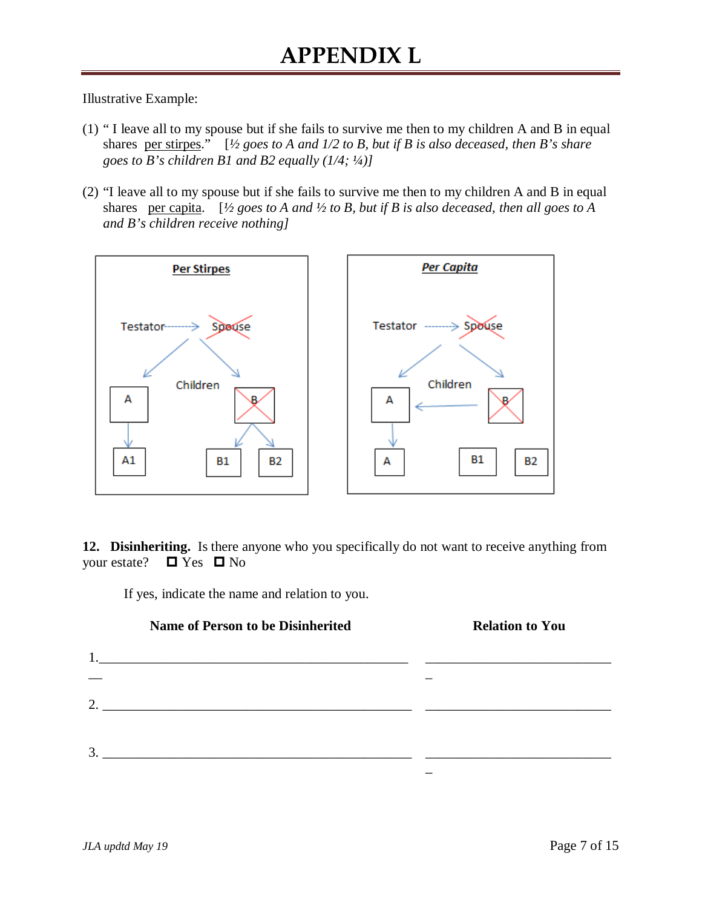Illustrative Example:

- (1) " I leave all to my spouse but if she fails to survive me then to my children A and B in equal shares per stirpes." [*½ goes to A and 1/2 to B, but if B is also deceased, then B's share goes to B's children B1 and B2 equally (1/4; ¼)]*
- (2) "I leave all to my spouse but if she fails to survive me then to my children A and B in equal shares per capita. [*½ goes to A and ½ to B, but if B is also deceased, then all goes to A and B's children receive nothing]*



**12. Disinheriting.** Is there anyone who you specifically do not want to receive anything from your estate?  $\Box$  Yes  $\Box$  No

If yes, indicate the name and relation to you.

|    | <b>Name of Person to be Disinherited</b> | <b>Relation to You</b> |
|----|------------------------------------------|------------------------|
|    |                                          |                        |
|    |                                          |                        |
| 2. |                                          |                        |
|    |                                          |                        |
| 3. |                                          |                        |
|    |                                          |                        |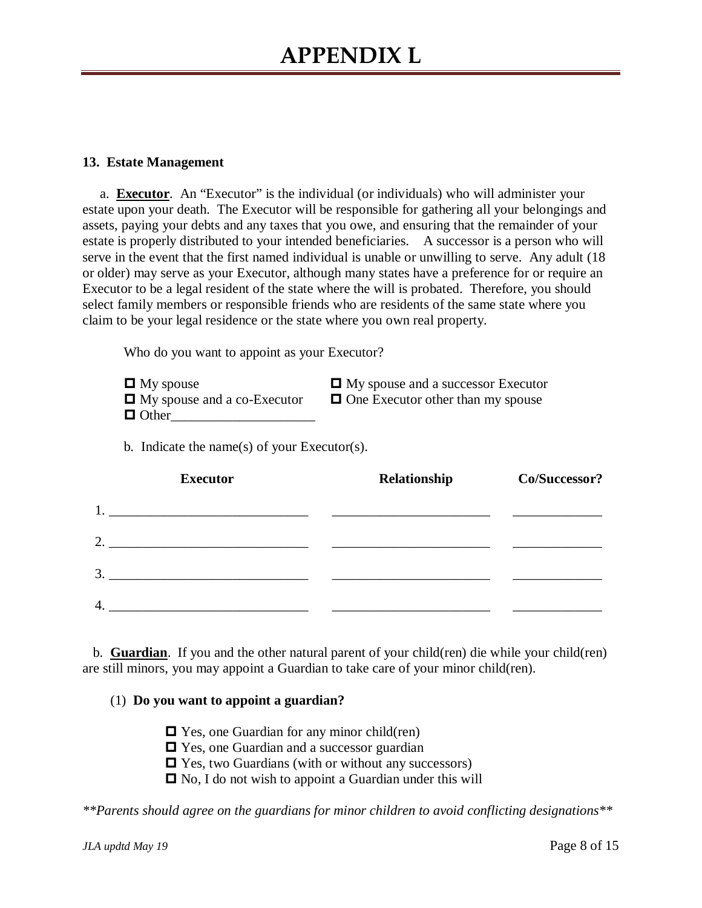#### **13. Estate Management**

 a. **Executor**. An "Executor" is the individual (or individuals) who will administer your estate upon your death. The Executor will be responsible for gathering all your belongings and assets, paying your debts and any taxes that you owe, and ensuring that the remainder of your estate is properly distributed to your intended beneficiaries. A successor is a person who will serve in the event that the first named individual is unable or unwilling to serve. Any adult (18 or older) may serve as your Executor, although many states have a preference for or require an Executor to be a legal resident of the state where the will is probated. Therefore, you should select family members or responsible friends who are residents of the same state where you claim to be your legal residence or the state where you own real property.

Who do you want to appoint as your Executor?

| $\Box$ My spouse                   | $\Box$ My spouse and a successor Executor |
|------------------------------------|-------------------------------------------|
| $\Box$ My spouse and a co-Executor | $\Box$ One Executor other than my spouse  |
| $\Box$ Other                       |                                           |

b. Indicate the name(s) of your Executor(s).

|    | <b>Executor</b>                                          | Relationship | Co/Successor? |
|----|----------------------------------------------------------|--------------|---------------|
| 1. | <u> 1980 - Jan Stein, amerikansk politiker (</u> † 1920) |              |               |
| 2. |                                                          |              |               |
| 3. |                                                          |              |               |
| 4. |                                                          |              |               |

 b. **Guardian**. If you and the other natural parent of your child(ren) die while your child(ren) are still minors, you may appoint a Guardian to take care of your minor child(ren).

#### (1) **Do you want to appoint a guardian?**

- □ Yes, one Guardian for any minor child(ren)
- **□** Yes, one Guardian and a successor guardian
- $\Box$  Yes, two Guardians (with or without any successors)
- $\Box$  No, I do not wish to appoint a Guardian under this will

*\*\*Parents should agree on the guardians for minor children to avoid conflicting designations\*\**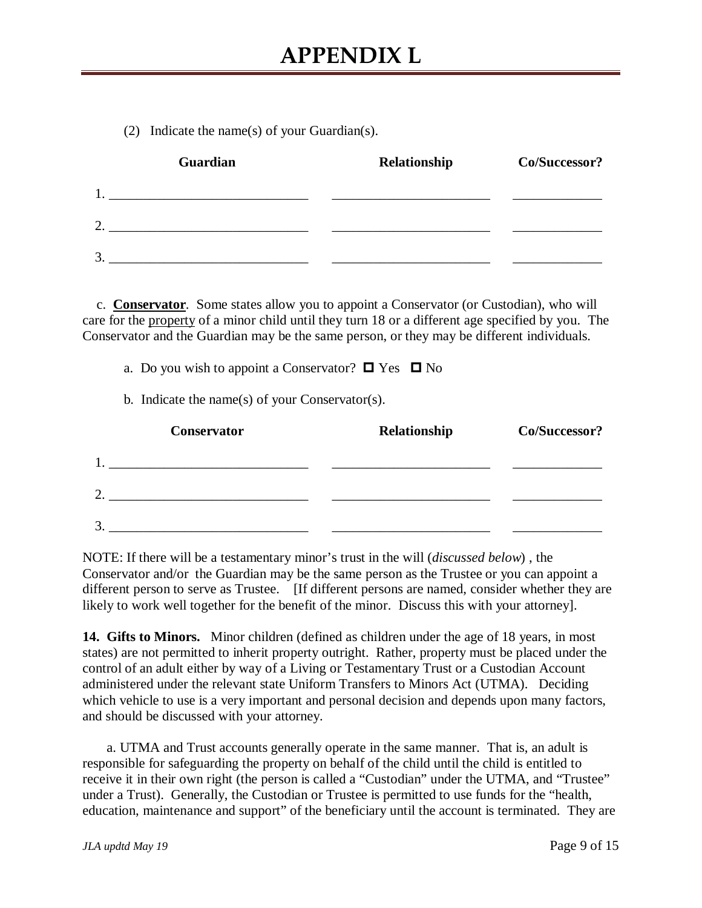(2) Indicate the name(s) of your Guardian(s).

|    | Guardian | Relationship | Co/Successor? |
|----|----------|--------------|---------------|
|    |          |              |               |
| 2. |          |              |               |
| 3  |          |              |               |

 c. **Conservator**. Some states allow you to appoint a Conservator (or Custodian), who will care for the property of a minor child until they turn 18 or a different age specified by you. The Conservator and the Guardian may be the same person, or they may be different individuals.

|  |  |  |  | a. Do you wish to appoint a Conservator? $\Box$ Yes $\Box$ No |  |  |
|--|--|--|--|---------------------------------------------------------------|--|--|
|--|--|--|--|---------------------------------------------------------------|--|--|

b. Indicate the name(s) of your Conservator(s).

|               | <b>Conservator</b> | Relationship | Co/Successor? |
|---------------|--------------------|--------------|---------------|
|               |                    |              |               |
| ി             |                    |              |               |
| $\mathcal{R}$ |                    |              |               |

NOTE: If there will be a testamentary minor's trust in the will (*discussed below*) , the Conservator and/or the Guardian may be the same person as the Trustee or you can appoint a different person to serve as Trustee. [If different persons are named, consider whether they are likely to work well together for the benefit of the minor. Discuss this with your attorney].

**14. Gifts to Minors.** Minor children (defined as children under the age of 18 years, in most states) are not permitted to inherit property outright. Rather, property must be placed under the control of an adult either by way of a Living or Testamentary Trust or a Custodian Account administered under the relevant state Uniform Transfers to Minors Act (UTMA). Deciding which vehicle to use is a very important and personal decision and depends upon many factors, and should be discussed with your attorney.

 a. UTMA and Trust accounts generally operate in the same manner. That is, an adult is responsible for safeguarding the property on behalf of the child until the child is entitled to receive it in their own right (the person is called a "Custodian" under the UTMA, and "Trustee" under a Trust). Generally, the Custodian or Trustee is permitted to use funds for the "health, education, maintenance and support" of the beneficiary until the account is terminated. They are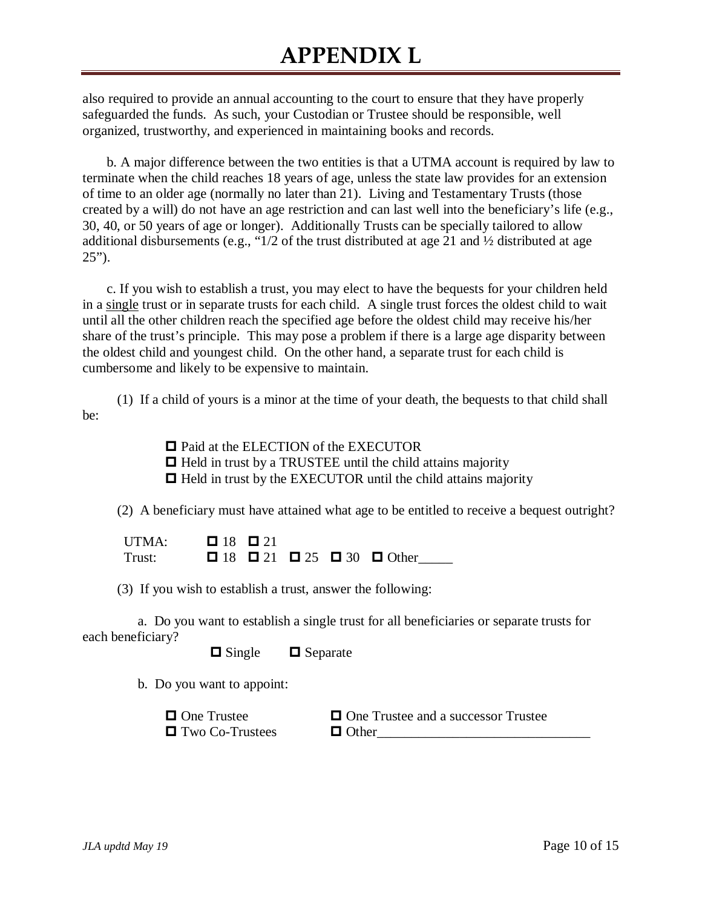also required to provide an annual accounting to the court to ensure that they have properly safeguarded the funds. As such, your Custodian or Trustee should be responsible, well organized, trustworthy, and experienced in maintaining books and records.

 b. A major difference between the two entities is that a UTMA account is required by law to terminate when the child reaches 18 years of age, unless the state law provides for an extension of time to an older age (normally no later than 21). Living and Testamentary Trusts (those created by a will) do not have an age restriction and can last well into the beneficiary's life (e.g., 30, 40, or 50 years of age or longer). Additionally Trusts can be specially tailored to allow additional disbursements (e.g., "1/2 of the trust distributed at age 21 and ½ distributed at age  $25$ ").

 c. If you wish to establish a trust, you may elect to have the bequests for your children held in a single trust or in separate trusts for each child. A single trust forces the oldest child to wait until all the other children reach the specified age before the oldest child may receive his/her share of the trust's principle. This may pose a problem if there is a large age disparity between the oldest child and youngest child. On the other hand, a separate trust for each child is cumbersome and likely to be expensive to maintain.

 (1) If a child of yours is a minor at the time of your death, the bequests to that child shall be:

> □ Paid at the ELECTION of the EXECUTOR  $\Box$  Held in trust by a TRUSTEE until the child attains majority  $\Box$  Held in trust by the EXECUTOR until the child attains majority

(2) A beneficiary must have attained what age to be entitled to receive a bequest outright?

UTMA:  $\Box$  18  $\Box$  21 Trust:  $\Box$  18  $\Box$  21  $\Box$  25  $\Box$  30  $\Box$  Other

(3) If you wish to establish a trust, answer the following:

 a. Do you want to establish a single trust for all beneficiaries or separate trusts for each beneficiary?

 $\Box$  Single  $\Box$  Separate

b. Do you want to appoint:

 $\Box$  One Trustee  $\Box$  One Trustee and a successor Trustee  $\Box$  Two Co-Trustees  $\Box$  Other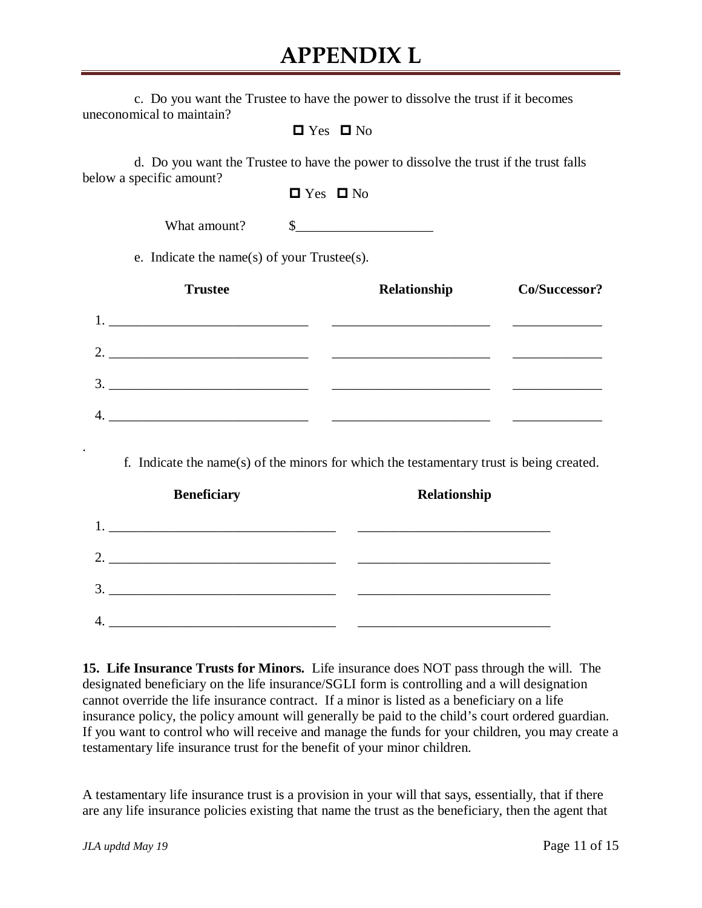| c. Do you want the Trustee to have the power to dissolve the trust if it becomes |  |  |  |
|----------------------------------------------------------------------------------|--|--|--|
| uneconomical to maintain?                                                        |  |  |  |

| Yes | י ⊡ No |
|-----|--------|
|-----|--------|

 d. Do you want the Trustee to have the power to dissolve the trust if the trust falls below a specific amount?

| Yes | י ⊡ No |
|-----|--------|
|-----|--------|

What amount? \$

e. Indicate the name(s) of your Trustee(s).

| <b>Trustee</b> | Relationship | Co/Successor? |
|----------------|--------------|---------------|
| 1.             |              |               |
| 2.             |              |               |
| 3.             |              |               |
| 4.             |              |               |

f. Indicate the name(s) of the minors for which the testamentary trust is being created.

| <b>Beneficiary</b>                                                                                    | Relationship |
|-------------------------------------------------------------------------------------------------------|--------------|
| 1.<br>the contract of the contract of the contract of the contract of the contract of the contract of |              |
| 2.<br><u> 1980 - Andrea Andrew Maria (h. 1980).</u>                                                   |              |
| 3.                                                                                                    |              |
| $\overline{4}$                                                                                        |              |
|                                                                                                       |              |

**15. Life Insurance Trusts for Minors.** Life insurance does NOT pass through the will. The designated beneficiary on the life insurance/SGLI form is controlling and a will designation cannot override the life insurance contract. If a minor is listed as a beneficiary on a life insurance policy, the policy amount will generally be paid to the child's court ordered guardian. If you want to control who will receive and manage the funds for your children, you may create a testamentary life insurance trust for the benefit of your minor children.

A testamentary life insurance trust is a provision in your will that says, essentially, that if there are any life insurance policies existing that name the trust as the beneficiary, then the agent that

.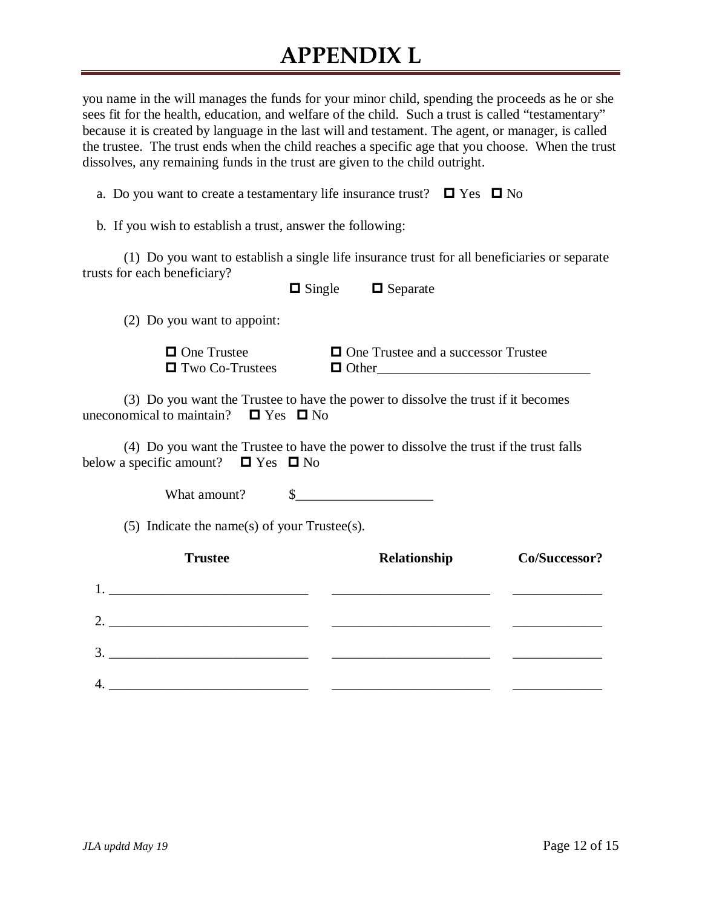you name in the will manages the funds for your minor child, spending the proceeds as he or she sees fit for the health, education, and welfare of the child. Such a trust is called "testamentary" because it is created by language in the last will and testament. The agent, or manager, is called the trustee. The trust ends when the child reaches a specific age that you choose. When the trust dissolves, any remaining funds in the trust are given to the child outright.

a. Do you want to create a testamentary life insurance trust?  $\Box$  Yes  $\Box$  No

b. If you wish to establish a trust, answer the following:

(1) Do you want to establish a single life insurance trust for all beneficiaries or separate trusts for each beneficiary?

 $\Box$  Single  $\Box$  Separate

(2) Do you want to appoint:

 $\Box$  Two Co-Trustees  $\Box$  Other

 $\Box$  One Trustee  $\Box$  One Trustee and a successor Trustee

(3) Do you want the Trustee to have the power to dissolve the trust if it becomes uneconomical to maintain?  $\Box$  Yes  $\Box$  No

 (4) Do you want the Trustee to have the power to dissolve the trust if the trust falls below a specific amount?  $\Box$  Yes  $\Box$  No

What amount? <br>S

(5) Indicate the name(s) of your Trustee(s).

|                | <b>Trustee</b>                                                                                                                                                                                                                | Relationship | Co/Successor? |
|----------------|-------------------------------------------------------------------------------------------------------------------------------------------------------------------------------------------------------------------------------|--------------|---------------|
| 1.             | the control of the control of the control of the control of the control of the control of the control of the control of the control of the control of the control of the control of the control of the control of the control |              |               |
| 2.             | <u> 1980 - Jan Samuel Barbara, margaret e</u> ta biztanleria (h. 1918).                                                                                                                                                       |              |               |
| 3.             |                                                                                                                                                                                                                               |              |               |
| $\overline{4}$ |                                                                                                                                                                                                                               |              |               |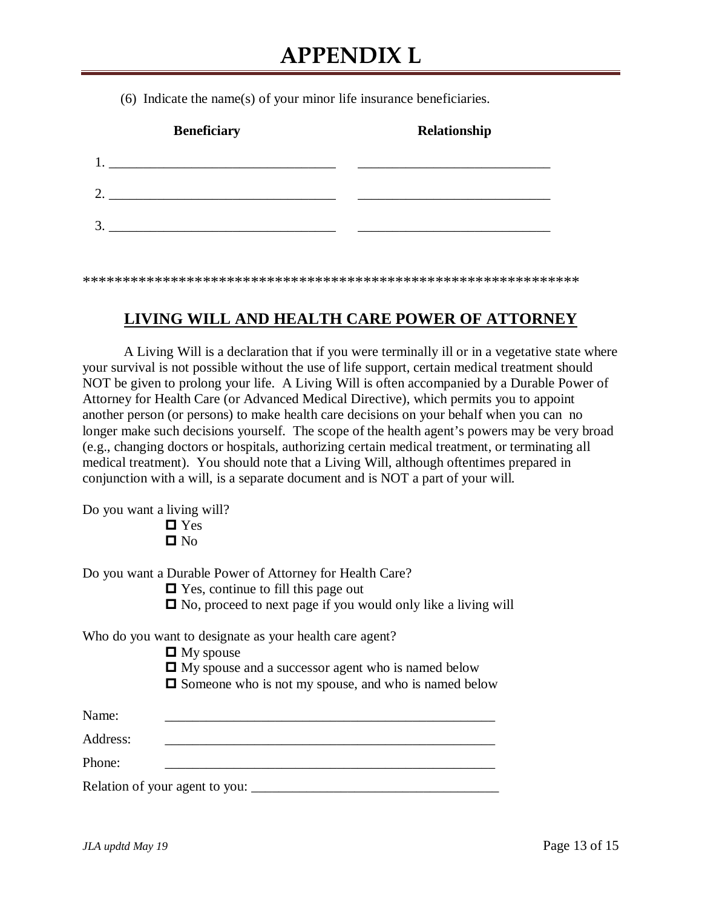(6) Indicate the name(s) of your minor life insurance beneficiaries.

| <b>Beneficiary</b> |                                                           | Relationship |
|--------------------|-----------------------------------------------------------|--------------|
|                    | <u> 1980 - John Stone, Amerikaansk politiker († 1908)</u> |              |
|                    |                                                           |              |
|                    |                                                           |              |
|                    |                                                           |              |

\*\*\*\*\*\*\*\*\*\*\*\*\*\*\*\*\*\*\*\*\*\*\*\*\*\*\*\*\*\*\*\*\*\*\*\*\*\*\*\*\*\*\*\*\*\*\*\*\*\*\*\*\*\*\*\*\*\*\*\*\*\*

### **LIVING WILL AND HEALTH CARE POWER OF ATTORNEY**

A Living Will is a declaration that if you were terminally ill or in a vegetative state where your survival is not possible without the use of life support, certain medical treatment should NOT be given to prolong your life. A Living Will is often accompanied by a Durable Power of Attorney for Health Care (or Advanced Medical Directive), which permits you to appoint another person (or persons) to make health care decisions on your behalf when you can no longer make such decisions yourself. The scope of the health agent's powers may be very broad (e.g., changing doctors or hospitals, authorizing certain medical treatment, or terminating all medical treatment). You should note that a Living Will, although oftentimes prepared in conjunction with a will, is a separate document and is NOT a part of your will.

Do you want a living will?

**D** Yes  $\blacksquare$  No

Do you want a Durable Power of Attorney for Health Care?

 $\Box$  Yes, continue to fill this page out

 $\Box$  No, proceed to next page if you would only like a living will

Who do you want to designate as your health care agent?

- $\Box$  My spouse
- $\Box$  My spouse and a successor agent who is named below
- $\Box$  Someone who is not my spouse, and who is named below

| Name:    |                                |  |
|----------|--------------------------------|--|
| Address: |                                |  |
| Phone:   |                                |  |
|          | Relation of your agent to you: |  |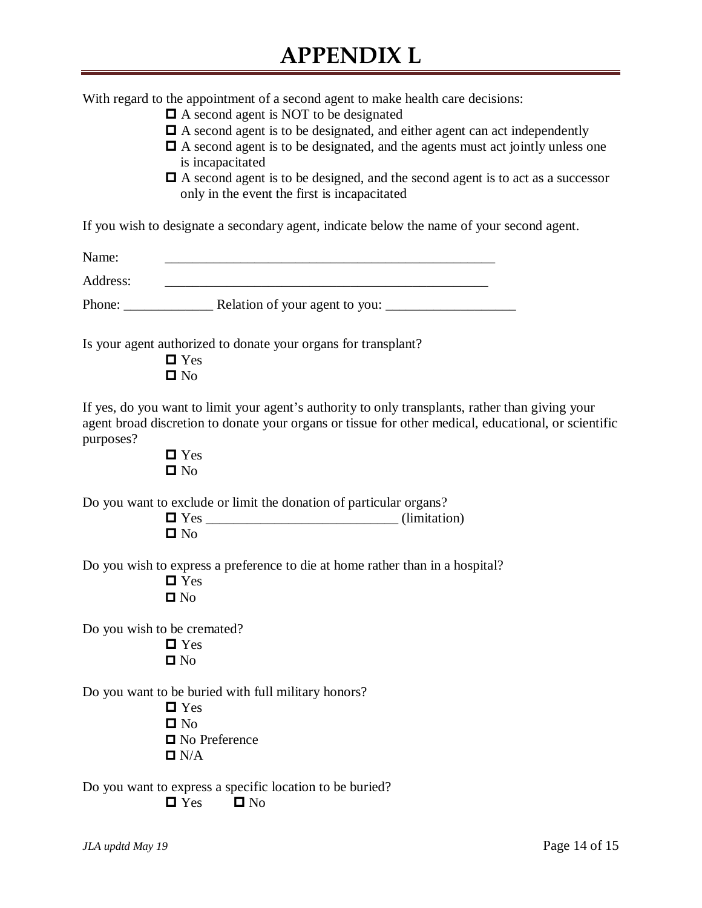| With regard to the appointment of a second agent to make health care decisions: |  |  |  |
|---------------------------------------------------------------------------------|--|--|--|
|                                                                                 |  |  |  |
|                                                                                 |  |  |  |

- $\Box$  A second agent is NOT to be designated
- A second agent is to be designated, and either agent can act independently
- A second agent is to be designated, and the agents must act jointly unless one is incapacitated
- A second agent is to be designed, and the second agent is to act as a successor only in the event the first is incapacitated

If you wish to designate a secondary agent, indicate below the name of your second agent.

| Name:     |                                                                                                                                                                                                                                                     |
|-----------|-----------------------------------------------------------------------------------------------------------------------------------------------------------------------------------------------------------------------------------------------------|
| Address:  |                                                                                                                                                                                                                                                     |
|           |                                                                                                                                                                                                                                                     |
|           | Is your agent authorized to donate your organs for transplant?<br>$\blacksquare$ Yes<br>$\blacksquare$ No                                                                                                                                           |
| purposes? | If yes, do you want to limit your agent's authority to only transplants, rather than giving your<br>agent broad discretion to donate your organs or tissue for other medical, educational, or scientific<br>$\blacksquare$ Yes<br>$\blacksquare$ No |
|           | Do you want to exclude or limit the donation of particular organs?<br>$\blacksquare$ No                                                                                                                                                             |
|           | Do you wish to express a preference to die at home rather than in a hospital?<br>$\blacksquare$ Yes<br>$\square$ No                                                                                                                                 |
|           | Do you wish to be cremated?<br>$\blacksquare$ Yes<br>$\square$ No                                                                                                                                                                                   |
|           | Do you want to be buried with full military honors?<br>$\blacksquare$ Yes<br>$\blacksquare$ No<br>$\blacksquare$ No Preference<br>$\blacksquare$ N/A                                                                                                |
|           | Do you want to express a specific location to be buried?<br>$\blacksquare$ Yes<br>$\blacksquare$ No                                                                                                                                                 |